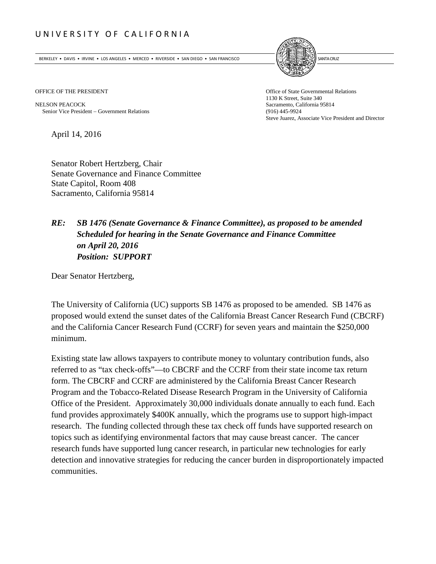## UNIVERSITY OF CALIFORNIA

BERKELEY • DAVIS • IRVINE • LOS ANGELES • MERCED • RIVERSIDE • SAN DIEGO • SAN FRANCISCO SANTA GRUZ SANTA CRUZ



OFFICE OF THE PRESIDENT **Office of State Governmental Relations** 

NELSON PEACOCK Sacramento, California 95814 Senior Vice President – Government Relations (916) 445-9924

1130 K Street, Suite 340 Steve Juarez, Associate Vice President and Director

April 14, 2016

Senator Robert Hertzberg, Chair Senate Governance and Finance Committee State Capitol, Room 408 Sacramento, California 95814

## *RE: SB 1476 (Senate Governance & Finance Committee), as proposed to be amended Scheduled for hearing in the Senate Governance and Finance Committee on April 20, 2016 Position: SUPPORT*

Dear Senator Hertzberg,

The University of California (UC) supports SB 1476 as proposed to be amended. SB 1476 as proposed would extend the sunset dates of the California Breast Cancer Research Fund (CBCRF) and the California Cancer Research Fund (CCRF) for seven years and maintain the \$250,000 minimum.

Existing state law allows taxpayers to contribute money to voluntary contribution funds, also referred to as "tax check-offs"—to CBCRF and the CCRF from their state income tax return form. The CBCRF and CCRF are administered by the California Breast Cancer Research Program and the Tobacco-Related Disease Research Program in the University of California Office of the President. Approximately 30,000 individuals donate annually to each fund. Each fund provides approximately \$400K annually, which the programs use to support high-impact research. The funding collected through these tax check off funds have supported research on topics such as identifying environmental factors that may cause breast cancer. The cancer research funds have supported lung cancer research, in particular new technologies for early detection and innovative strategies for reducing the cancer burden in disproportionately impacted communities.